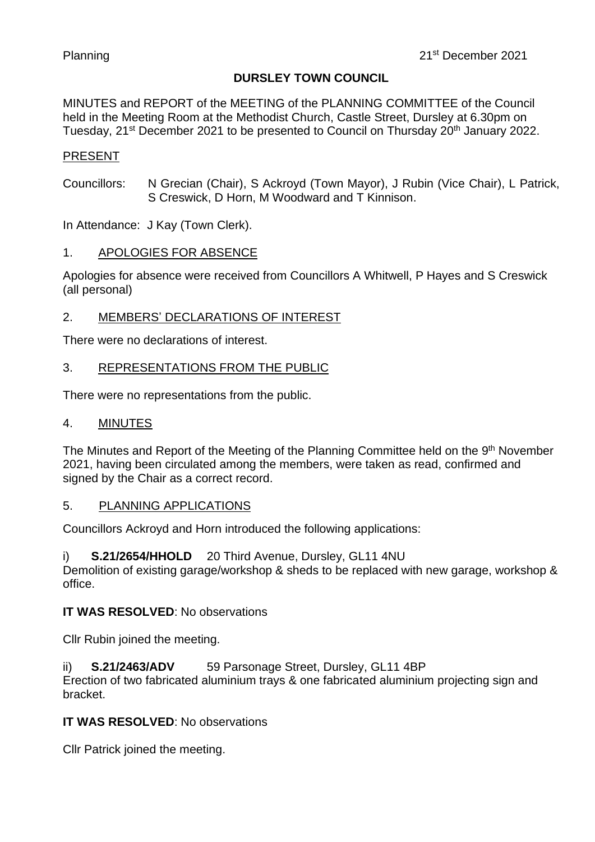## **DURSLEY TOWN COUNCIL**

MINUTES and REPORT of the MEETING of the PLANNING COMMITTEE of the Council held in the Meeting Room at the Methodist Church, Castle Street, Dursley at 6.30pm on Tuesday, 21<sup>st</sup> December 2021 to be presented to Council on Thursday 20<sup>th</sup> January 2022.

### PRESENT

Councillors: N Grecian (Chair), S Ackroyd (Town Mayor), J Rubin (Vice Chair), L Patrick, S Creswick, D Horn, M Woodward and T Kinnison.

In Attendance: J Kay (Town Clerk).

### 1. APOLOGIES FOR ABSENCE

Apologies for absence were received from Councillors A Whitwell, P Hayes and S Creswick (all personal)

### 2. MEMBERS' DECLARATIONS OF INTEREST

There were no declarations of interest.

### 3. REPRESENTATIONS FROM THE PUBLIC

There were no representations from the public.

#### 4. MINUTES

The Minutes and Report of the Meeting of the Planning Committee held on the 9<sup>th</sup> November 2021, having been circulated among the members, were taken as read, confirmed and signed by the Chair as a correct record.

#### 5. PLANNING APPLICATIONS

Councillors Ackroyd and Horn introduced the following applications:

#### i) **S.21/2654/HHOLD** 20 Third Avenue, Dursley, GL11 4NU

Demolition of existing garage/workshop & sheds to be replaced with new garage, workshop & office.

## **IT WAS RESOLVED**: No observations

Cllr Rubin joined the meeting.

## ii) **S.21/2463/ADV** 59 Parsonage Street, Dursley, GL11 4BP

Erection of two fabricated aluminium trays & one fabricated aluminium projecting sign and bracket.

## **IT WAS RESOLVED**: No observations

Cllr Patrick joined the meeting.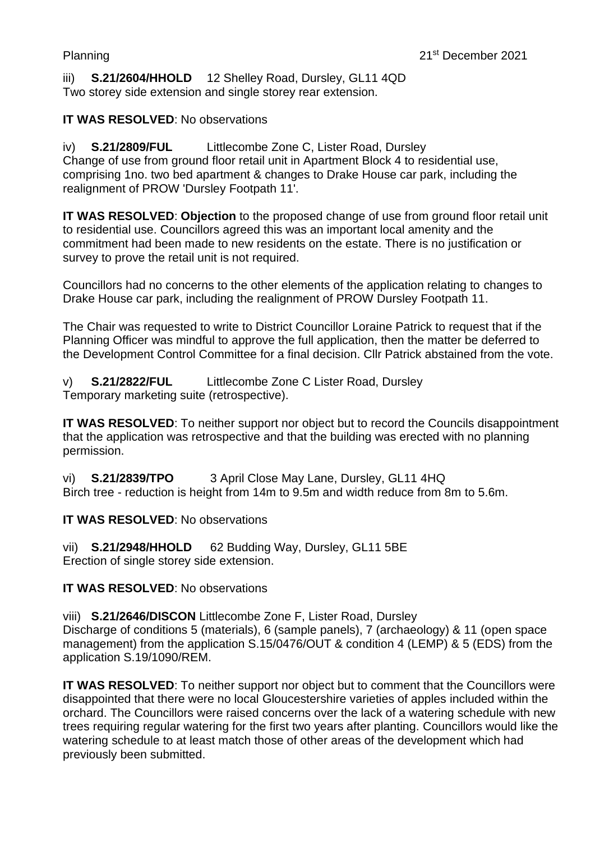iii) **S.21/2604/HHOLD** 12 Shelley Road, Dursley, GL11 4QD Two storey side extension and single storey rear extension.

# **IT WAS RESOLVED**: No observations

iv) **S.21/2809/FUL** Littlecombe Zone C, Lister Road, Dursley Change of use from ground floor retail unit in Apartment Block 4 to residential use, comprising 1no. two bed apartment & changes to Drake House car park, including the realignment of PROW 'Dursley Footpath 11'.

**IT WAS RESOLVED**: **Objection** to the proposed change of use from ground floor retail unit to residential use. Councillors agreed this was an important local amenity and the commitment had been made to new residents on the estate. There is no justification or survey to prove the retail unit is not required.

Councillors had no concerns to the other elements of the application relating to changes to Drake House car park, including the realignment of PROW Dursley Footpath 11.

The Chair was requested to write to District Councillor Loraine Patrick to request that if the Planning Officer was mindful to approve the full application, then the matter be deferred to the Development Control Committee for a final decision. Cllr Patrick abstained from the vote.

v) **S.21/2822/FUL** Littlecombe Zone C Lister Road, Dursley Temporary marketing suite (retrospective).

**IT WAS RESOLVED:** To neither support nor object but to record the Councils disappointment that the application was retrospective and that the building was erected with no planning permission.

vi) **S.21/2839/TPO** 3 April Close May Lane, Dursley, GL11 4HQ Birch tree - reduction is height from 14m to 9.5m and width reduce from 8m to 5.6m.

**IT WAS RESOLVED**: No observations

vii) **S.21/2948/HHOLD** 62 Budding Way, Dursley, GL11 5BE Erection of single storey side extension.

# **IT WAS RESOLVED**: No observations

viii) **S.21/2646/DISCON** Littlecombe Zone F, Lister Road, Dursley Discharge of conditions 5 (materials), 6 (sample panels), 7 (archaeology) & 11 (open space management) from the application S.15/0476/OUT & condition 4 (LEMP) & 5 (EDS) from the application S.19/1090/REM.

**IT WAS RESOLVED**: To neither support nor object but to comment that the Councillors were disappointed that there were no local Gloucestershire varieties of apples included within the orchard. The Councillors were raised concerns over the lack of a watering schedule with new trees requiring regular watering for the first two years after planting. Councillors would like the watering schedule to at least match those of other areas of the development which had previously been submitted.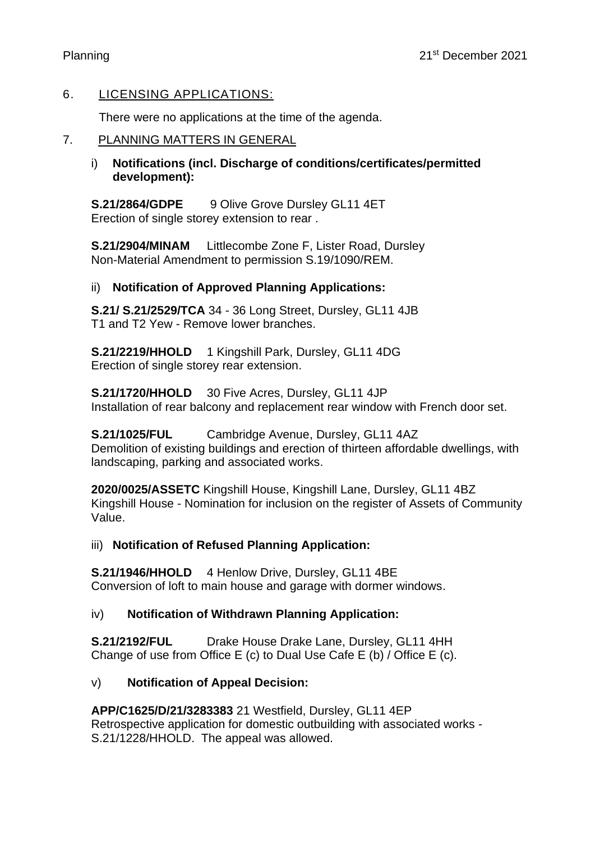# 6. LICENSING APPLICATIONS:

There were no applications at the time of the agenda.

## 7. PLANNING MATTERS IN GENERAL

## i) **Notifications (incl. Discharge of conditions/certificates/permitted development):**

**S.21/2864/GDPE** 9 Olive Grove Dursley GL11 4ET Erection of single storey extension to rear .

**S.21/2904/MINAM** Littlecombe Zone F, Lister Road, Dursley Non-Material Amendment to permission S.19/1090/REM.

## ii) **Notification of Approved Planning Applications:**

**S.21/ S.21/2529/TCA** 34 - 36 Long Street, Dursley, GL11 4JB T1 and T2 Yew - Remove lower branches.

**S.21/2219/HHOLD** 1 Kingshill Park, Dursley, GL11 4DG Erection of single storey rear extension.

**S.21/1720/HHOLD** 30 Five Acres, Dursley, GL11 4JP Installation of rear balcony and replacement rear window with French door set.

#### **S.21/1025/FUL** Cambridge Avenue, Dursley, GL11 4AZ Demolition of existing buildings and erection of thirteen affordable dwellings, with landscaping, parking and associated works.

**2020/0025/ASSETC** Kingshill House, Kingshill Lane, Dursley, GL11 4BZ Kingshill House - Nomination for inclusion on the register of Assets of Community Value.

# iii) **Notification of Refused Planning Application:**

**S.21/1946/HHOLD** 4 Henlow Drive, Dursley, GL11 4BE Conversion of loft to main house and garage with dormer windows.

# iv) **Notification of Withdrawn Planning Application:**

**S.21/2192/FUL** Drake House Drake Lane, Dursley, GL11 4HH Change of use from Office E (c) to Dual Use Cafe E (b) / Office E (c).

# v) **Notification of Appeal Decision:**

**APP/C1625/D/21/3283383** 21 Westfield, Dursley, GL11 4EP Retrospective application for domestic outbuilding with associated works - S.21/1228/HHOLD. The appeal was allowed.